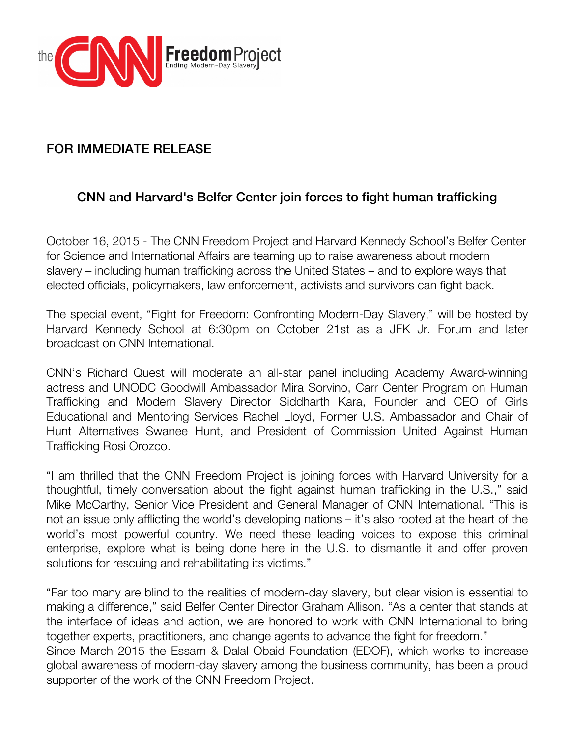

# FOR IMMEDIATE RELEASE

## CNN and Harvard's Belfer Center join forces to fight human trafficking

October 16, 2015 - The CNN Freedom Project and Harvard Kennedy School's Belfer Center for Science and International Affairs are teaming up to raise awareness about modern slavery – including human trafficking across the United States – and to explore ways that elected officials, policymakers, law enforcement, activists and survivors can fight back.

The special event, "Fight for Freedom: Confronting Modern-Day Slavery," will be hosted by Harvard Kennedy School at 6:30pm on October 21st as a JFK Jr. Forum and later broadcast on CNN International.

CNN's Richard Quest will moderate an all-star panel including Academy Award-winning actress and UNODC Goodwill Ambassador Mira Sorvino, Carr Center Program on Human Trafficking and Modern Slavery Director Siddharth Kara, Founder and CEO of Girls Educational and Mentoring Services Rachel Lloyd, Former U.S. Ambassador and Chair of Hunt Alternatives Swanee Hunt, and President of Commission United Against Human Trafficking Rosi Orozco.

"I am thrilled that the CNN Freedom Project is joining forces with Harvard University for a thoughtful, timely conversation about the fight against human trafficking in the U.S.," said Mike McCarthy, Senior Vice President and General Manager of CNN International. "This is not an issue only afflicting the world's developing nations – it's also rooted at the heart of the world's most powerful country. We need these leading voices to expose this criminal enterprise, explore what is being done here in the U.S. to dismantle it and offer proven solutions for rescuing and rehabilitating its victims."

"Far too many are blind to the realities of modern-day slavery, but clear vision is essential to making a difference," said Belfer Center Director Graham Allison. "As a center that stands at the interface of ideas and action, we are honored to work with CNN International to bring together experts, practitioners, and change agents to advance the fight for freedom." Since March 2015 the Essam & Dalal Obaid Foundation (EDOF), which works to increase

global awareness of modern-day slavery among the business community, has been a proud supporter of the work of the CNN Freedom Project.